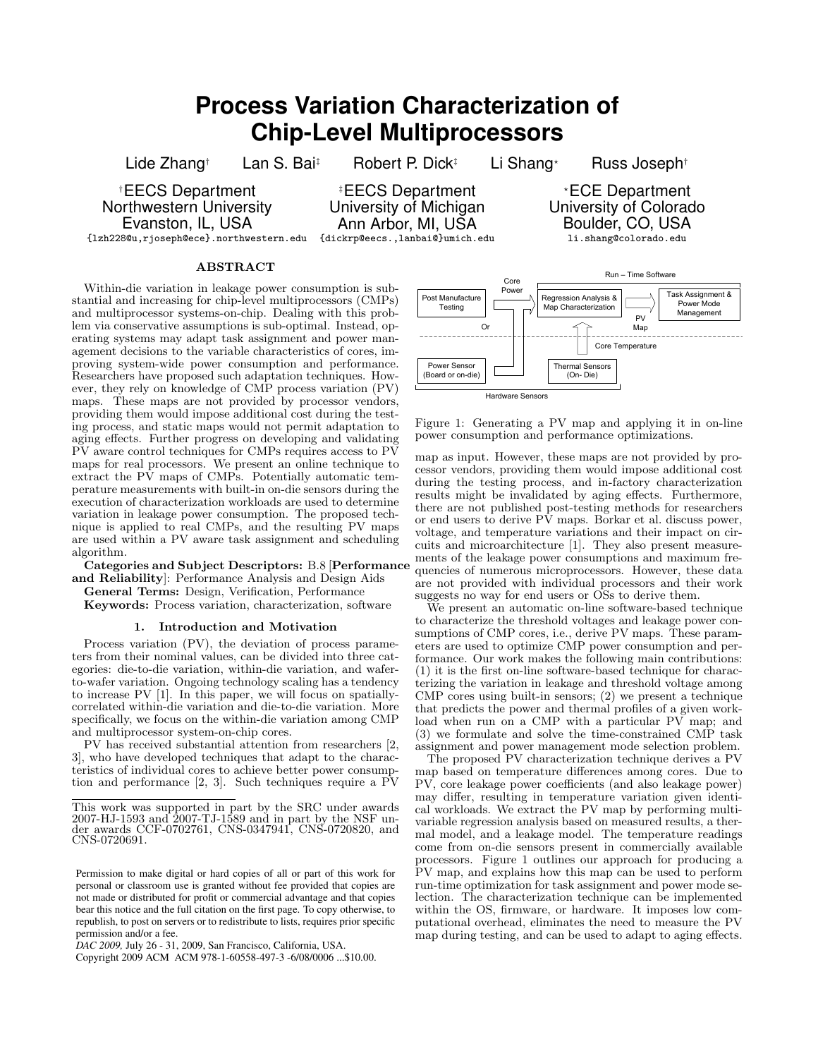# **Process Variation Characterization of Chip-Level Multiprocessors**

Lide Zhang† Lan S. Bai‡ Robert P. Dick‡ Li Shang\* Russ Joseph†

†EECS Department Northwestern University Evanston, IL, USA

{lzh228@u,rjoseph@ece}.northwestern.edu

‡EECS Department University of Michigan Ann Arbor, MI, USA {dickrp@eecs.,lanbai@}umich.edu

## ABSTRACT

Within-die variation in leakage power consumption is substantial and increasing for chip-level multiprocessors (CMPs) and multiprocessor systems-on-chip. Dealing with this problem via conservative assumptions is sub-optimal. Instead, operating systems may adapt task assignment and power management decisions to the variable characteristics of cores, improving system-wide power consumption and performance. Researchers have proposed such adaptation techniques. However, they rely on knowledge of CMP process variation (PV) maps. These maps are not provided by processor vendors, providing them would impose additional cost during the testing process, and static maps would not permit adaptation to aging effects. Further progress on developing and validating PV aware control techniques for CMPs requires access to PV maps for real processors. We present an online technique to extract the  $\overrightarrow{PV}$  maps of CMPs. Potentially automatic temperature measurements with built-in on-die sensors during the execution of characterization workloads are used to determine variation in leakage power consumption. The proposed technique is applied to real CMPs, and the resulting PV maps are used within a PV aware task assignment and scheduling algorithm.

Categories and Subject Descriptors: B.8 [Performance and Reliability]: Performance Analysis and Design Aids

General Terms: Design, Verification, Performance

Keywords: Process variation, characterization, software

# 1. Introduction and Motivation

Process variation (PV), the deviation of process parameters from their nominal values, can be divided into three categories: die-to-die variation, within-die variation, and waferto-wafer variation. Ongoing technology scaling has a tendency to increase PV [1]. In this paper, we will focus on spatiallycorrelated within-die variation and die-to-die variation. More specifically, we focus on the within-die variation among CMP and multiprocessor system-on-chip cores.

PV has received substantial attention from researchers [2, 3], who have developed techniques that adapt to the characteristics of individual cores to achieve better power consumption and performance [2, 3]. Such techniques require a PV

*DAC 2009,* July 26 - 31, 2009, San Francisco, California, USA.

Copyright 2009 ACM ACM 978-1-60558-497-3 -6/08/0006 ...\$10.00.



Figure 1: Generating a PV map and applying it in on-line power consumption and performance optimizations.

map as input. However, these maps are not provided by processor vendors, providing them would impose additional cost during the testing process, and in-factory characterization results might be invalidated by aging effects. Furthermore, there are not published post-testing methods for researchers or end users to derive PV maps. Borkar et al. discuss power, voltage, and temperature variations and their impact on circuits and microarchitecture [1]. They also present measurements of the leakage power consumptions and maximum frequencies of numerous microprocessors. However, these data are not provided with individual processors and their work suggests no way for end users or OSs to derive them.

We present an automatic on-line software-based technique to characterize the threshold voltages and leakage power consumptions of CMP cores, i.e., derive PV maps. These parameters are used to optimize CMP power consumption and performance. Our work makes the following main contributions: (1) it is the first on-line software-based technique for characterizing the variation in leakage and threshold voltage among CMP cores using built-in sensors; (2) we present a technique that predicts the power and thermal profiles of a given workload when run on a CMP with a particular PV map; and (3) we formulate and solve the time-constrained CMP task assignment and power management mode selection problem.

The proposed PV characterization technique derives a PV map based on temperature differences among cores. Due to PV, core leakage power coefficients (and also leakage power) may differ, resulting in temperature variation given identical workloads. We extract the PV map by performing multivariable regression analysis based on measured results, a thermal model, and a leakage model. The temperature readings come from on-die sensors present in commercially available processors. Figure 1 outlines our approach for producing a PV map, and explains how this map can be used to perform run-time optimization for task assignment and power mode selection. The characterization technique can be implemented within the OS, firmware, or hardware. It imposes low computational overhead, eliminates the need to measure the PV map during testing, and can be used to adapt to aging effects.

<sup>⋆</sup>ECE Department

University of Colorado Boulder, CO, USA

li.shang@colorado.edu

This work was supported in part by the SRC under awards 2007-HJ-1593 and 2007-TJ-1589 and in part by the NSF under awards CCF-0702761, CNS-0347941, CNS-0720820, and CNS-0720691.

Permission to make digital or hard copies of all or part of this work for personal or classroom use is granted without fee provided that copies are not made or distributed for profit or commercial advantage and that copies bear this notice and the full citation on the first page. To copy otherwise, to republish, to post on servers or to redistribute to lists, requires prior specific permission and/or a fee.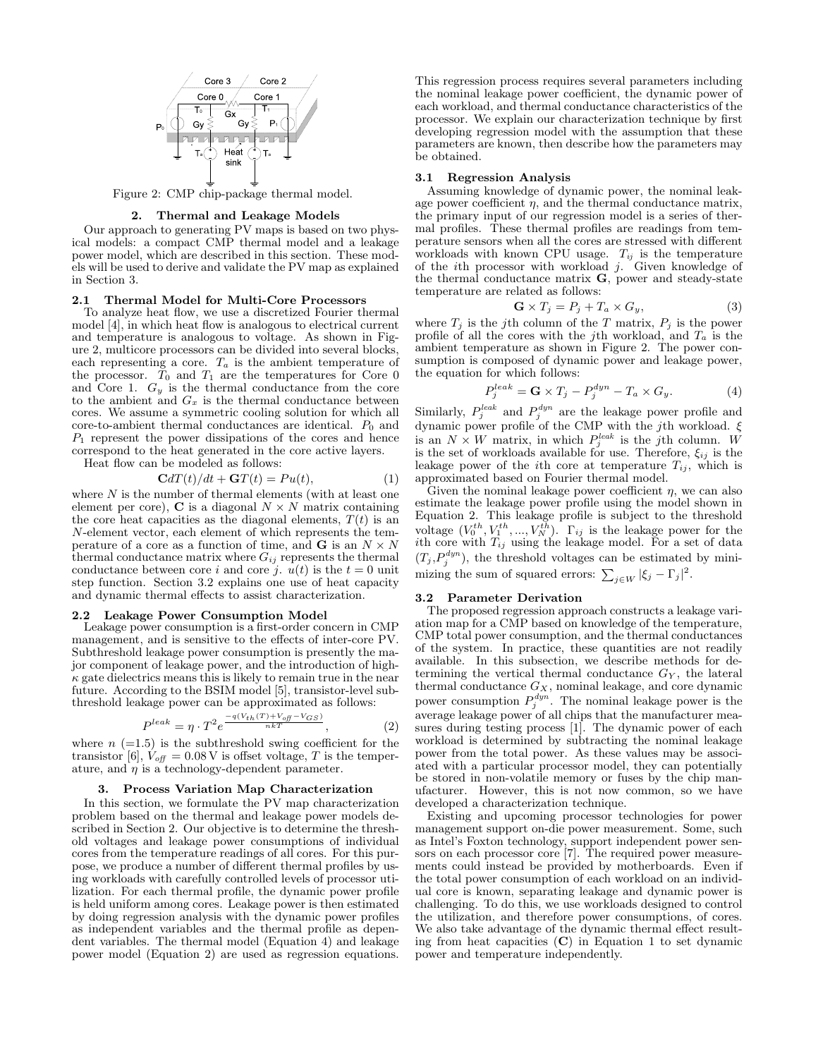

Figure 2: CMP chip-package thermal model.

# 2. Thermal and Leakage Models

Our approach to generating PV maps is based on two physical models: a compact CMP thermal model and a leakage power model, which are described in this section. These models will be used to derive and validate the PV map as explained in Section 3.

# 2.1 Thermal Model for Multi-Core Processors

To analyze heat flow, we use a discretized Fourier thermal model [4], in which heat flow is analogous to electrical current and temperature is analogous to voltage. As shown in Figure 2, multicore processors can be divided into several blocks, each representing a core.  $T_a$  is the ambient temperature of the processor.  $T_0$  and  $T_1$  are the temperatures for Core 0 and Core 1.  $G_y$  is the thermal conductance from the core to the ambient and  $G_x$  is the thermal conductance between cores. We assume a symmetric cooling solution for which all  $core-to-ambient thermal conductances are identical.$   $P_0$  and  $P_1$  represent the power dissipations of the cores and hence correspond to the heat generated in the core active layers. Heat flow can be modeled as follows:

$$
\mathbf{C}dT(t)/dt + \mathbf{G}T(t) = Pu(t), \tag{1}
$$

where  $N$  is the number of thermal elements (with at least one element per core),  $C$  is a diagonal  $N \times N$  matrix containing the core heat capacities as the diagonal elements,  $T(t)$  is an N-element vector, each element of which represents the temperature of a core as a function of time, and **G** is an  $N \times N$ thermal conductance matrix where  $G_{ij}$  represents the thermal conductance between core i and core j.  $u(t)$  is the  $t = 0$  unit step function. Section 3.2 explains one use of heat capacity and dynamic thermal effects to assist characterization.

# 2.2 Leakage Power Consumption Model

Leakage power consumption is a first-order concern in CMP management, and is sensitive to the effects of inter-core PV. Subthreshold leakage power consumption is presently the major component of leakage power, and the introduction of high- $\kappa$  gate dielectrics means this is likely to remain true in the near future. According to the BSIM model [5], transistor-level subthreshold leakage power can be approximated as follows:

$$
P^{leak} = \eta \cdot T^2 e^{\frac{-q(V_{th}(T) + V_{off} - V_{GS})}{nkT}}, \qquad (2)
$$

where  $n (=1.5)$  is the subthreshold swing coefficient for the transistor [6],  $V_{\text{off}} = 0.08 \text{ V}$  is offset voltage, T is the temperature, and  $\eta$  is a technology-dependent parameter.

#### 3. Process Variation Map Characterization

In this section, we formulate the PV map characterization problem based on the thermal and leakage power models described in Section 2. Our objective is to determine the threshold voltages and leakage power consumptions of individual cores from the temperature readings of all cores. For this purpose, we produce a number of different thermal profiles by using workloads with carefully controlled levels of processor utilization. For each thermal profile, the dynamic power profile is held uniform among cores. Leakage power is then estimated by doing regression analysis with the dynamic power profiles as independent variables and the thermal profile as dependent variables. The thermal model (Equation 4) and leakage power model (Equation 2) are used as regression equations.

This regression process requires several parameters including the nominal leakage power coefficient, the dynamic power of each workload, and thermal conductance characteristics of the processor. We explain our characterization technique by first developing regression model with the assumption that these parameters are known, then describe how the parameters may be obtained.

#### 3.1 Regression Analysis

Assuming knowledge of dynamic power, the nominal leakage power coefficient  $\eta$ , and the thermal conductance matrix, the primary input of our regression model is a series of thermal profiles. These thermal profiles are readings from temperature sensors when all the cores are stressed with different workloads with known CPU usage.  $T_{ij}$  is the temperature of the *i*th processor with workload  $j$ . Given knowledge of the thermal conductance matrix  $\bf{G}$ , power and steady-state temperature are related as follows:

$$
\mathbf{G} \times T_j = P_j + T_a \times G_y,\tag{3}
$$

where  $T_j$  is the j<sup>th</sup> column of the T matrix,  $P_j$  is the power profile of all the cores with the jth workload, and  $T_a$  is the ambient temperature as shown in Figure 2. The power consumption is composed of dynamic power and leakage power, the equation for which follows:

$$
P_j^{leak} = \mathbf{G} \times T_j - P_j^{dyn} - T_a \times G_y.
$$
 (4)

Similarly,  $P_j^{leak}$  and  $P_j^{dyn}$  are the leakage power profile and dynamic power profile of the CMP with the jth workload. ξ is an  $N \times W$  matrix, in which  $P_j^{leak}$  is the jth column. W is the set of workloads available for use. Therefore,  $\xi_{ij}$  is the leakage power of the *i*th core at temperature  $T_{ij}$ , which is approximated based on Fourier thermal model.

Given the nominal leakage power coefficient  $\eta$ , we can also estimate the leakage power profile using the model shown in Equation 2. This leakage profile is subject to the threshold voltage  $(V_0^{th}, V_1^{th}, ..., V_N^{th})$ .  $\Gamma_{ij}$  is the leakage power for the ith core with  $T_{ij}$  using the leakage model. For a set of data  $(T_j, P_j^{dyn})$ , the threshold voltages can be estimated by minimizing the sum of squared errors:  $\sum_{j \in W} |\xi_j - \Gamma_j|^2$ .

#### 3.2 Parameter Derivation

The proposed regression approach constructs a leakage variation map for a CMP based on knowledge of the temperature, CMP total power consumption, and the thermal conductances of the system. In practice, these quantities are not readily available. In this subsection, we describe methods for determining the vertical thermal conductance  $G_Y$ , the lateral thermal conductance  $G_X$ , nominal leakage, and core dynamic power consumption  $P_j^{dyn}$ . The nominal leakage power is the average leakage power of all chips that the manufacturer measures during testing process [1]. The dynamic power of each workload is determined by subtracting the nominal leakage power from the total power. As these values may be associated with a particular processor model, they can potentially be stored in non-volatile memory or fuses by the chip manufacturer. However, this is not now common, so we have developed a characterization technique.

Existing and upcoming processor technologies for power management support on-die power measurement. Some, such as Intel's Foxton technology, support independent power sensors on each processor core [7]. The required power measurements could instead be provided by motherboards. Even if the total power consumption of each workload on an individual core is known, separating leakage and dynamic power is challenging. To do this, we use workloads designed to control the utilization, and therefore power consumptions, of cores. We also take advantage of the dynamic thermal effect resulting from heat capacities  $(C)$  in Equation 1 to set dynamic power and temperature independently.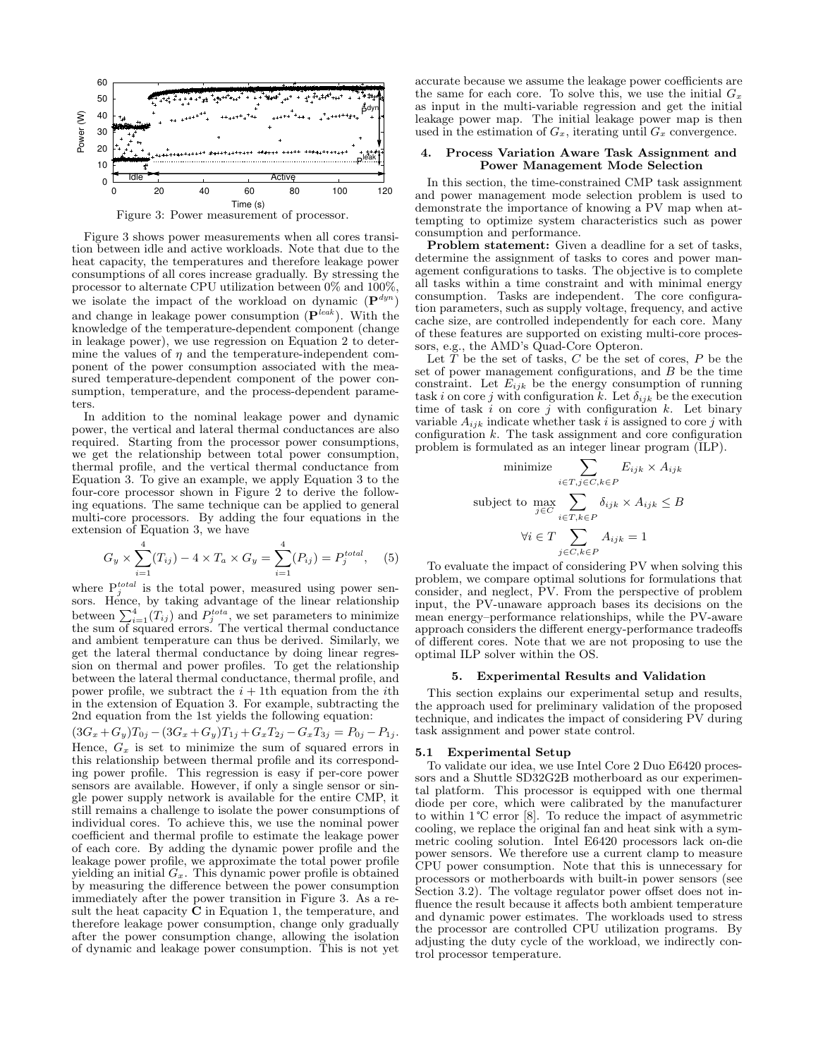

Figure 3 shows power measurements when all cores transition between idle and active workloads. Note that due to the heat capacity, the temperatures and therefore leakage power consumptions of all cores increase gradually. By stressing the processor to alternate CPU utilization between 0% and 100%, we isolate the impact of the workload on dynamic  $(\mathbf{P}^{dyn})$ and change in leakage power consumption  $(\mathbf{P}^{leak})$ . With the knowledge of the temperature-dependent component (change in leakage power), we use regression on Equation 2 to determine the values of  $\eta$  and the temperature-independent component of the power consumption associated with the measured temperature-dependent component of the power consumption, temperature, and the process-dependent parameters.

In addition to the nominal leakage power and dynamic power, the vertical and lateral thermal conductances are also required. Starting from the processor power consumptions, we get the relationship between total power consumption, thermal profile, and the vertical thermal conductance from Equation 3. To give an example, we apply Equation 3 to the four-core processor shown in Figure 2 to derive the following equations. The same technique can be applied to general multi-core processors. By adding the four equations in the extension of Equation 3, we have

$$
G_y \times \sum_{i=1}^4 (T_{ij}) - 4 \times T_a \times G_y = \sum_{i=1}^4 (P_{ij}) = P_j^{total}, \quad (5)
$$

where  $P_j^{total}$  is the total power, measured using power sensors. Hence, by taking advantage of the linear relationship between  $\sum_{i=1}^{4} (T_{ij})$  and  $P_j^{total}$ , we set parameters to minimize the sum of squared errors. The vertical thermal conductance and ambient temperature can thus be derived. Similarly, we get the lateral thermal conductance by doing linear regression on thermal and power profiles. To get the relationship between the lateral thermal conductance, thermal profile, and power profile, we subtract the  $i + 1$ th equation from the *i*th in the extension of Equation 3. For example, subtracting the 2nd equation from the 1st yields the following equation:  $(3G_x+G_y)T_{0j}-(3G_x+G_y)T_{1j}+G_xT_{2j}-G_xT_{3j}=P_{0j}-P_{1j}.$ Hence,  $G_x$  is set to minimize the sum of squared errors in this relationship between thermal profile and its corresponding power profile. This regression is easy if per-core power sensors are available. However, if only a single sensor or single power supply network is available for the entire CMP, it still remains a challenge to isolate the power consumptions of individual cores. To achieve this, we use the nominal power coefficient and thermal profile to estimate the leakage power of each core. By adding the dynamic power profile and the leakage power profile, we approximate the total power profile yielding an initial  $G_x$ . This dynamic power profile is obtained by measuring the difference between the power consumption immediately after the power transition in Figure 3. As a result the heat capacity  $\bar{C}$  in Equation 1, the temperature, and therefore leakage power consumption, change only gradually after the power consumption change, allowing the isolation of dynamic and leakage power consumption. This is not yet

accurate because we assume the leakage power coefficients are the same for each core. To solve this, we use the initial  $G_x$ as input in the multi-variable regression and get the initial leakage power map. The initial leakage power map is then used in the estimation of  $G_x$ , iterating until  $G_x$  convergence.

## 4. Process Variation Aware Task Assignment and Power Management Mode Selection

In this section, the time-constrained CMP task assignment and power management mode selection problem is used to demonstrate the importance of knowing a PV map when attempting to optimize system characteristics such as power consumption and performance.

Problem statement: Given a deadline for a set of tasks, determine the assignment of tasks to cores and power management configurations to tasks. The objective is to complete all tasks within a time constraint and with minimal energy consumption. Tasks are independent. The core configuration parameters, such as supply voltage, frequency, and active cache size, are controlled independently for each core. Many of these features are supported on existing multi-core processors, e.g., the AMD's Quad-Core Opteron.

Let  $T$  be the set of tasks,  $C$  be the set of cores,  $P$  be the set of power management configurations, and B be the time constraint. Let  $E_{ijk}$  be the energy consumption of running task i on core j with configuration k. Let  $\delta_{ijk}$  be the execution time of task  $i$  on core  $j$  with configuration  $k$ . Let binary variable  $A_{ijk}$  indicate whether task i is assigned to core j with configuration  $k$ . The task assignment and core configuration problem is formulated as an integer linear program (ILP).

minimize 
$$
\sum_{i \in T, j \in C, k \in P} E_{ijk} \times A_{ijk}
$$
  
subject to 
$$
\max_{j \in C} \sum_{i \in T, k \in P} \delta_{ijk} \times A_{ijk} \leq B
$$

$$
\forall i \in T \sum_{j \in C, k \in P} A_{ijk} = 1
$$

To evaluate the impact of considering PV when solving this problem, we compare optimal solutions for formulations that consider, and neglect, PV. From the perspective of problem input, the PV-unaware approach bases its decisions on the mean energy–performance relationships, while the PV-aware approach considers the different energy-performance tradeoffs of different cores. Note that we are not proposing to use the optimal ILP solver within the OS.

## 5. Experimental Results and Validation

This section explains our experimental setup and results, the approach used for preliminary validation of the proposed technique, and indicates the impact of considering PV during task assignment and power state control.

#### 5.1 Experimental Setup

To validate our idea, we use Intel Core 2 Duo E6420 processors and a Shuttle SD32G2B motherboard as our experimental platform. This processor is equipped with one thermal diode per core, which were calibrated by the manufacturer to within 1 ℃ error [8]. To reduce the impact of asymmetric cooling, we replace the original fan and heat sink with a symmetric cooling solution. Intel E6420 processors lack on-die power sensors. We therefore use a current clamp to measure CPU power consumption. Note that this is unnecessary for processors or motherboards with built-in power sensors (see Section 3.2). The voltage regulator power offset does not influence the result because it affects both ambient temperature and dynamic power estimates. The workloads used to stress the processor are controlled CPU utilization programs. By adjusting the duty cycle of the workload, we indirectly control processor temperature.